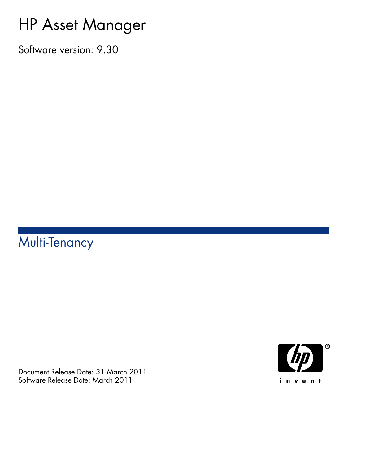# HP Asset Manager

Software version: 9.30

# Multi-Tenancy

Document Release Date: 31 March 2011 Software Release Date: March 2011

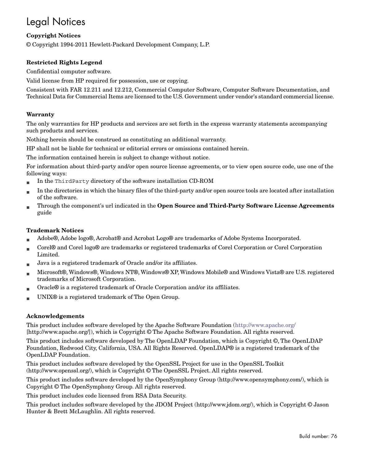# Legal Notices

#### **Copyright Notices**

© Copyright 1994-2011 Hewlett-Packard Development Company, L.P.

#### **Restricted Rights Legend**

Confidential computer software.

Valid license from HP required for possession, use or copying.

Consistent with FAR 12.211 and 12.212, Commercial Computer Software, Computer Software Documentation, and Technical Data for Commercial Items are licensed to the U.S. Government under vendor's standard commercial license.

#### **Warranty**

The only warranties for HP products and services are set forth in the express warranty statements accompanying such products and services.

Nothing herein should be construed as constituting an additional warranty.

HP shall not be liable for technical or editorial errors or omissions contained herein.

The information contained herein is subject to change without notice.

For information about third-party and/or open source license agreements, or to view open source code, use one of the following ways:

- <sup>n</sup> In the ThirdParty directory of the software installation CD-ROM
- n In the directories in which the binary files of the third-party and/or open source tools are located after installation of the software.
- n Through the component's url indicated in the **Open Source and Third-Party Software License Agreements** guide

#### **Trademark Notices**

- n Adobe®, Adobe logo®, Acrobat® and Acrobat Logo® are trademarks of Adobe Systems Incorporated.
- n Corel® and Corel logo® are trademarks or registered trademarks of Corel Corporation or Corel Corporation Limited.
- Java is a registered trademark of Oracle and/or its affiliates.
- n Microsoft®, Windows®, Windows NT®, Windows® XP, Windows Mobile® and Windows Vista® are U.S. registered trademarks of Microsoft Corporation.
- Oracle® is a registered trademark of Oracle Corporation and/or its affiliates.
- UNIX<sup>®</sup> is a registered trademark of The Open Group.

#### **Acknowledgements**

This product includes software developed by the Apache Software Foundation [\(http://www.apache.org/](http://www.apache.org/) [http://www.apache.org/]), which is Copyright © The Apache Software Foundation. All rights reserved.

This product includes software developed by The OpenLDAP Foundation, which is Copyright ©, The OpenLDAP Foundation, Redwood City, California, USA. All Rights Reserved. OpenLDAP® is a registered trademark of the OpenLDAP Foundation.

This product includes software developed by the OpenSSL Project for use in the OpenSSL Toolkit (http://www.openssl.org/), which is Copyright © The OpenSSL Project. All rights reserved.

This product includes software developed by the OpenSymphony Group (http://www.opensymphony.com/), which is Copyright © The OpenSymphony Group. All rights reserved.

This product includes code licensed from RSA Data Security.

This product includes software developed by the JDOM Project (http://www.jdom.org/), which is Copyright © Jason Hunter & Brett McLaughlin. All rights reserved.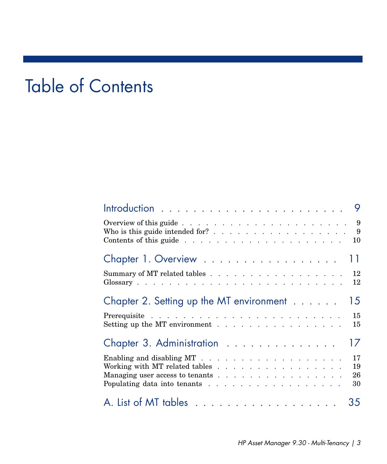# Table of Contents

| Who is this guide intended for? 9                                 |                      |
|-------------------------------------------------------------------|----------------------|
| Chapter 1. Overview 11                                            |                      |
| Summary of MT related tables 12                                   |                      |
| Chapter 2. Setting up the MT environment 15                       |                      |
|                                                                   | 15<br>15             |
| Chapter 3. Administration                                         | 17                   |
| Working with MT related tables<br>Managing user access to tenants | 17<br>19<br>26<br>30 |
|                                                                   |                      |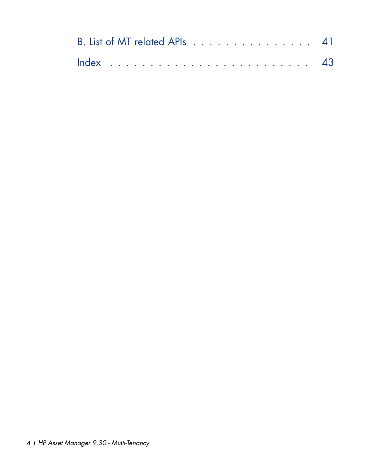| B. List of MT related APIs 41 |  |  |  |  |  |  |  |  |  |  |  |  |
|-------------------------------|--|--|--|--|--|--|--|--|--|--|--|--|
|                               |  |  |  |  |  |  |  |  |  |  |  |  |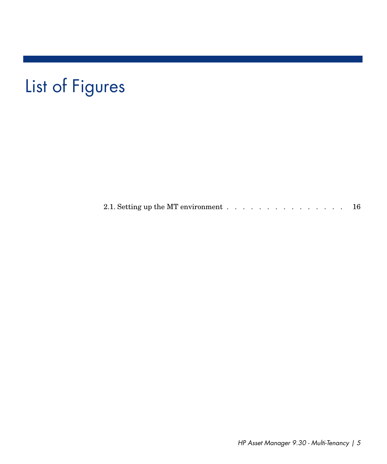# List of Figures

2.1. Setting up the MT environment  $\ldots$  . . . . . . . . . . . . . . [16](#page-15-0)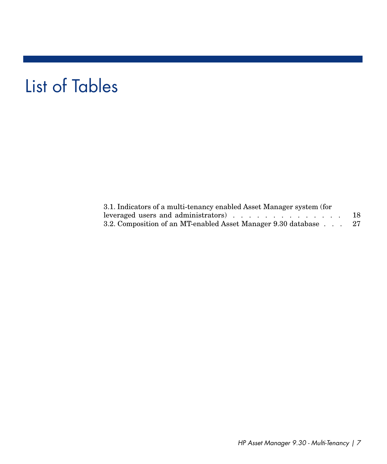# List of Tables

| 3.1. Indicators of a multi-tenancy enabled Asset Manager system (for |    |
|----------------------------------------------------------------------|----|
|                                                                      | 18 |
| 3.2. Composition of an MT-enabled Asset Manager 9.30 database        | 27 |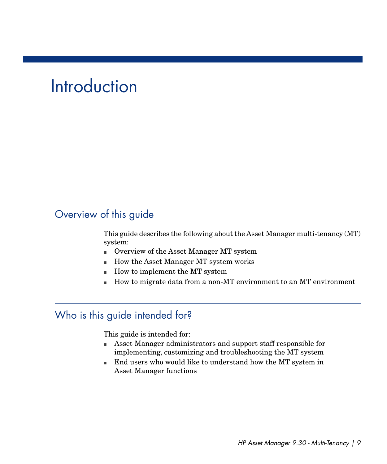# **Introduction**

# <span id="page-8-0"></span>Overview of this guide

This guide describes the following about the Asset Manager multi-tenancy (MT) system:

- <sup>n</sup> Overview of the Asset Manager MT system
- <span id="page-8-1"></span><sup>n</sup> How the Asset Manager MT system works
- How to implement the MT system
- <sup>n</sup> How to migrate data from a non-MT environment to an MT environment

# Who is this guide intended for?

This guide is intended for:

- <sup>n</sup> Asset Manager administrators and support staff responsible for implementing, customizing and troubleshooting the MT system
- <sup>n</sup> End users who would like to understand how the MT system in Asset Manager functions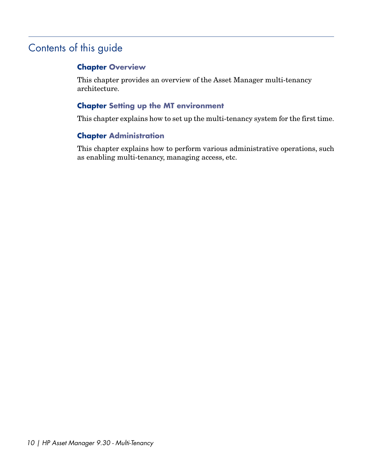# Contents of this guide

## <span id="page-9-0"></span>**Chapter [Overview](#page-10-0)**

This chapter provides an overview of the Asset Manager multi-tenancy architecture.

## **Chapter [Setting up the MT environment](#page-14-0)**

This chapter explains how to set up the multi-tenancy system for the first time.

## **Chapter [Administration](#page-16-0)**

This chapter explains how to perform various administrative operations, such as enabling multi-tenancy, managing access, etc.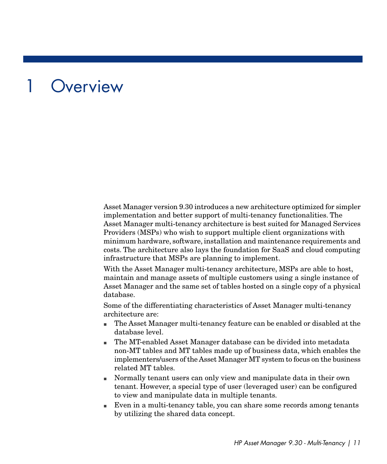# **Overview**

<span id="page-10-0"></span>Asset Manager version 9.30 introduces a new architecture optimized for simpler implementation and better support of multi-tenancy functionalities. The Asset Manager multi-tenancy architecture is best suited for Managed Services Providers (MSPs) who wish to support multiple client organizations with minimum hardware, software, installation and maintenance requirements and costs. The architecture also lays the foundation for SaaS and cloud computing infrastructure that MSPs are planning to implement.

With the Asset Manager multi-tenancy architecture, MSPs are able to host, maintain and manage assets of multiple customers using a single instance of Asset Manager and the same set of tables hosted on a single copy of a physical database.

Some of the differentiating characteristics of Asset Manager multi-tenancy architecture are:

- <sup>n</sup> The Asset Manager multi-tenancy feature can be enabled or disabled at the database level.
- n The MT-enabled Asset Manager database can be divided into metadata non-MT tables and MT tables made up of business data, which enables the implementers/users of the Asset Manager MT system to focus on the business related MT tables.
- <sup>n</sup> Normally tenant users can only view and manipulate data in their own tenant. However, a special type of user (leveraged user) can be configured to view and manipulate data in multiple tenants.
- <sup>n</sup> Even in a multi-tenancy table, you can share some records among tenants by utilizing the shared data concept.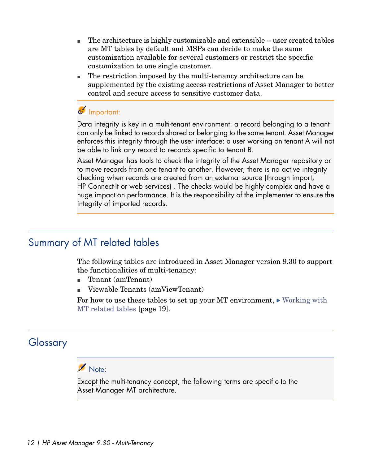- n The architecture is highly customizable and extensible -- user created tables are MT tables by default and MSPs can decide to make the same customization available for several customers or restrict the specific customization to one single customer.
- $\blacksquare$  The restriction imposed by the multi-tenancy architecture can be supplemented by the existing access restrictions of Asset Manager to better control and secure access to sensitive customer data.

## Important:

Data integrity is key in a multi-tenant environment: a record belonging to a tenant can only be linked to records shared or belonging to the same tenant. Asset Manager enforces this integrity through the user interface: a user working on tenant A will not be able to link any record to records specific to tenant B.

<span id="page-11-0"></span>Asset Manager has tools to check the integrity of the Asset Manager repository or to move records from one tenant to another. However, there is no active integrity checking when records are created from an external source (through import, HP Connect-It or web services) . The checks would be highly complex and have a huge impact on performance. It is the responsibility of the implementer to ensure the integrity of imported records.

# Summary of MT related tables

The following tables are introduced in Asset Manager version 9.30 to support the functionalities of multi-tenancy:

- Tenant (amTenant)
- <span id="page-11-1"></span><sup>n</sup> Viewable Tenants (amViewTenant)

For how to use these tables to set up your MT environment,  $\triangleright$  [Working with](#page-18-0) [MT related tables](#page-18-0) [page 19].

# Glossary

# Note:

Except the multi-tenancy concept, the following terms are specific to the Asset Manager MT architecture.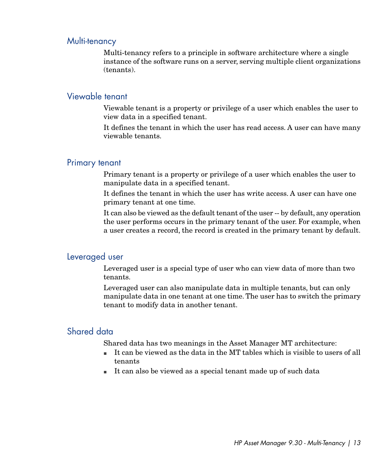## Multi-tenancy

<span id="page-12-1"></span>Multi-tenancy refers to a principle in software architecture where a single instance of the software runs on a server, serving multiple client organizations (tenants).

## Viewable tenant

Viewable tenant is a property or privilege of a user which enables the user to view data in a specified tenant.

<span id="page-12-2"></span>It defines the tenant in which the user has read access. A user can have many viewable tenants.

### Primary tenant

Primary tenant is a property or privilege of a user which enables the user to manipulate data in a specified tenant.

It defines the tenant in which the user has write access. A user can have one primary tenant at one time.

<span id="page-12-0"></span>It can also be viewed as the default tenant of the user -- by default, any operation the user performs occurs in the primary tenant of the user. For example, when a user creates a record, the record is created in the primary tenant by default.

#### Leveraged user

Leveraged user is a special type of user who can view data of more than two tenants.

Leveraged user can also manipulate data in multiple tenants, but can only manipulate data in one tenant at one time. The user has to switch the primary tenant to modify data in another tenant.

## Shared data

Shared data has two meanings in the Asset Manager MT architecture:

- It can be viewed as the data in the MT tables which is visible to users of all tenants
- <sup>n</sup> It can also be viewed as a special tenant made up of such data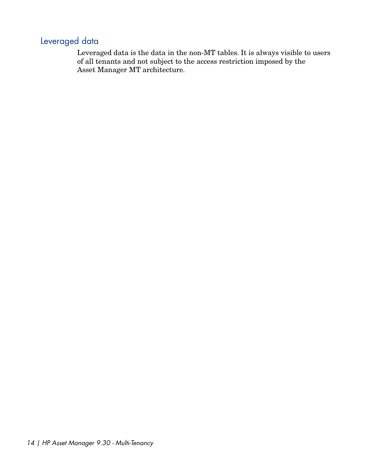## Leveraged data

Leveraged data is the data in the non-MT tables. It is always visible to users of all tenants and not subject to the access restriction imposed by the Asset Manager MT architecture.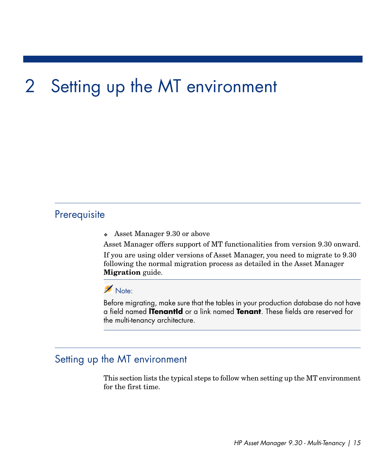# 2 Setting up the MT environment

# <span id="page-14-0"></span>**Prerequisite**

• Asset Manager 9.30 or above

Asset Manager offers support of MT functionalities from version 9.30 onward.

If you are using older versions of Asset Manager, you need to migrate to 9.30 following the normal migration process as detailed in the Asset Manager **Migration** guide.

## Note:

<span id="page-14-1"></span>Before migrating, make sure that the tables in your production database do not have a field named **lTenantId** or a link named **Tenant**. These fields are reserved for the multi-tenancy architecture.

## Setting up the MT environment

This section lists the typical steps to follow when setting up the MT environment for the first time.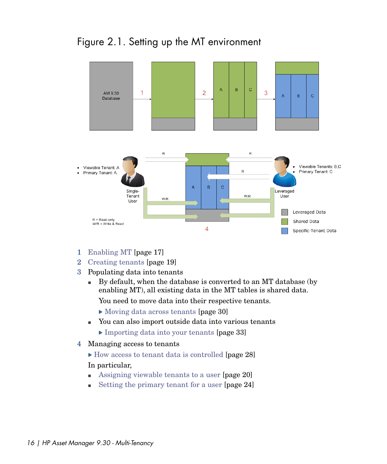<span id="page-15-0"></span>



- 1 [Enabling MT](#page-16-1) [page 17]
- 2 [Creating tenants](#page-18-1) [page 19]
- 3 Populating data into tenants
	- $\blacksquare$  By default, when the database is converted to an MT database (by enabling MT), all existing data in the MT tables is shared data.

You need to move data into their respective tenants.

- [Moving data across tenants](#page-29-1) [page 30]
- <sup>n</sup> You can also import outside data into various tenants
	- ▶ [Importing data into your tenants](#page-32-0) [page 33]
- 4 Managing access to tenants
	- $\triangleright$  [How access to tenant data is controlled](#page-27-0) [page 28]

#### In particular,

- **n** [Assigning viewable tenants to a user](#page-19-0) [page 20]
- [Setting the primary tenant for a user](#page-23-0)  $[page 24]$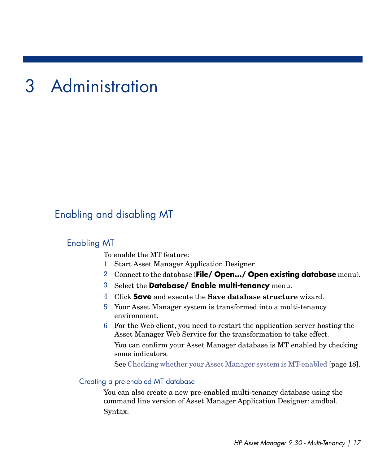# 3 Administration

# <span id="page-16-1"></span><span id="page-16-0"></span>Enabling and disabling MT

## Enabling MT

To enable the MT feature:

- 1 Start Asset Manager Application Designer.
- 2 Connect to the database (**File/ Open.../ Open existing database** menu).
- 3 Select the **Database/ Enable multi-tenancy** menu.
- 4 Click **Save** and execute the **Save database structure** wizard.
- 5 Your Asset Manager system is transformed into a multi-tenancy environment.
- 6 For the Web client, you need to restart the application server hosting the Asset Manager Web Service for the transformation to take effect.

You can confirm your Asset Manager database is MT enabled by checking some indicators.

See [Checking whether your Asset Manager system is MT-enabled](#page-17-1) [page 18].

#### Creating a pre-enabled MT database

You can also create a new pre-enabled multi-tenancy database using the command line version of Asset Manager Application Designer: amdbal. Syntax: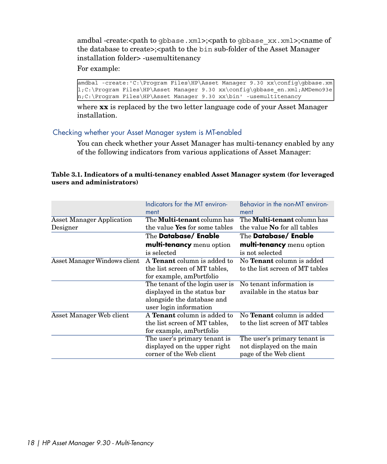amdbal -create:<path to gbbase.xml>;<path to gbbase\_xx.xml>;<name of the database to create>;<path to the bin sub-folder of the Asset Manager installation folder> -usemultitenancy

For example:

amdbal -create:'C:\Program Files\HP\Asset Manager 9.30 xx\config\gbbase.xm l;C:\Program Files\HP\Asset Manager 9.30 xx\config\gbbase\_en.xml;AMDemo93e n;C:\Program Files\HP\Asset Manager 9.30 xx\bin' -usemultitenancy

<span id="page-17-1"></span>where **xx** is replaced by the two letter language code of your Asset Manager installation.

#### Checking whether your Asset Manager system is MT-enabled

<span id="page-17-0"></span>You can check whether your Asset Manager has multi-tenancy enabled by any of the following indicators from various applications of Asset Manager:

#### **Table 3.1. Indicators of a multi-tenancy enabled Asset Manager system (for leveraged users and administrators)**

| Indicators for the MT environ-<br>ment | Behavior in the non-MT environ-<br>ment |  |  |  |  |
|----------------------------------------|-----------------------------------------|--|--|--|--|
| The <b>Multi-tenant</b> column has     | The <b>Multi-tenant</b> column has      |  |  |  |  |
| the value Yes for some tables          | the value <b>No</b> for all tables      |  |  |  |  |
| The <b>Database/ Enable</b>            | The <b>Database/ Enable</b>             |  |  |  |  |
| multi-tenancy menu option              | multi-tenancy menu option               |  |  |  |  |
| is selected                            | is not selected                         |  |  |  |  |
| A <b>Tenant</b> column is added to     | No <b>Tenant</b> column is added        |  |  |  |  |
| the list screen of MT tables.          | to the list screen of MT tables         |  |  |  |  |
| for example, amPortfolio               |                                         |  |  |  |  |
| The tenant of the login user is        | No tenant information is                |  |  |  |  |
| displayed in the status bar            | available in the status bar             |  |  |  |  |
| alongside the database and             |                                         |  |  |  |  |
| user login information                 |                                         |  |  |  |  |
| A <b>Tenant</b> column is added to     | No <b>Tenant</b> column is added        |  |  |  |  |
| the list screen of MT tables,          | to the list screen of MT tables         |  |  |  |  |
| for example, amPortfolio               |                                         |  |  |  |  |
| The user's primary tenant is           | The user's primary tenant is            |  |  |  |  |
| displayed on the upper right           | not displayed on the main               |  |  |  |  |
| corner of the Web client               | page of the Web client                  |  |  |  |  |
|                                        |                                         |  |  |  |  |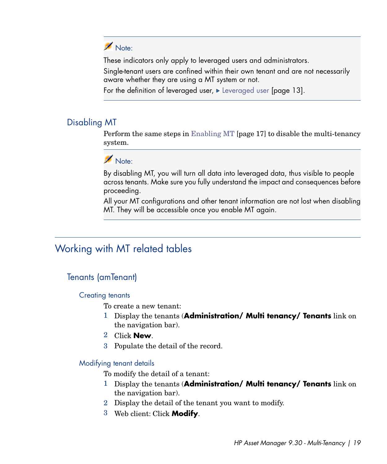# Note:

These indicators only apply to leveraged users and administrators.

Single-tenant users are confined within their own tenant and are not necessarily aware whether they are using a MT system or not.

For the definition of leveraged user,  $\blacktriangleright$  [Leveraged user](#page-12-0) [page 13].

## Disabling MT

Perform the same steps in [Enabling MT](#page-16-1) [page 17] to disable the multi-tenancy system.

# Note:

By disabling MT, you will turn all data into leveraged data, thus visible to people across tenants. Make sure you fully understand the impact and consequences before proceeding.

<span id="page-18-0"></span>All your MT configurations and other tenant information are not lost when disabling MT. They will be accessible once you enable MT again.

# Working with MT related tables

## <span id="page-18-1"></span>Tenants (amTenant)

### Creating tenants

To create a new tenant:

- 1 Display the tenants (**Administration/ Multi tenancy/ Tenants** link on the navigation bar).
- 2 Click **New**.
- 3 Populate the detail of the record.

### Modifying tenant details

To modify the detail of a tenant:

- 1 Display the tenants (**Administration/ Multi tenancy/ Tenants** link on the navigation bar).
- 2 Display the detail of the tenant you want to modify.
- 3 Web client: Click **Modify**.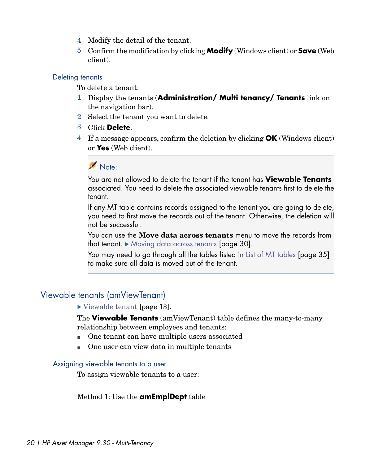- 4 Modify the detail of the tenant.
- 5 Confirm the modification by clicking **Modify** (Windows client) or **Save** (Web client).

#### Deleting tenants

To delete a tenant:

- 1 Display the tenants (**Administration/ Multi tenancy/ Tenants** link on the navigation bar).
- 2 Select the tenant you want to delete.
- 3 Click **Delete**.
- 4 If a message appears, confirm the deletion by clicking **OK** (Windows client) or **Yes** (Web client).

## Note:

You are not allowed to delete the tenant if the tenant has **Viewable Tenants** associated. You need to delete the associated viewable tenants first to delete the tenant.

If any MT table contains records assigned to the tenant you are going to delete, you need to first move the records out of the tenant. Otherwise, the deletion will not be successful.

You can use the **Move data across tenants** menu to move the records from that tenant. [Moving data across tenants](#page-29-1) [page 30].

You may need to go through all the tables listed in [List of MT tables](#page-34-0) [page 35] to make sure all data is moved out of the tenant.

## Viewable tenants (amViewTenant)

#### ▶ [Viewable tenant](#page-12-1) [page 13].

<span id="page-19-0"></span>The **Viewable Tenants** (amViewTenant) table defines the many-to-many relationship between employees and tenants:

- n One tenant can have multiple users associated
- n One user can view data in multiple tenants

#### Assigning viewable tenants to a user

To assign viewable tenants to a user:

### Method 1: Use the **amEmplDept** table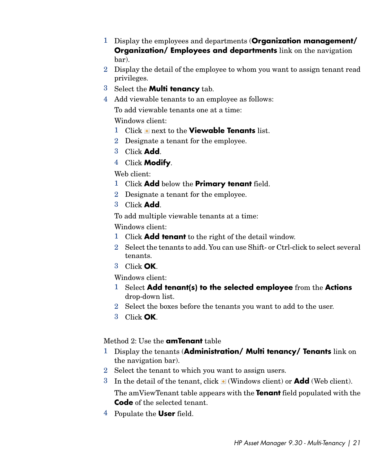- 1 Display the employees and departments (**Organization management/ Organization/ Employees and departments** link on the navigation bar).
- 2 Display the detail of the employee to whom you want to assign tenant read privileges.
- 3 Select the **Multi tenancy** tab.
- 4 Add viewable tenants to an employee as follows:

To add viewable tenants one at a time:

Windows client:

- 1 Click **+** next to the **Viewable Tenants** list.
- 2 Designate a tenant for the employee.
- 3 Click **Add**.
- 4 Click **Modify**.

Web client:

- 1 Click **Add** below the **Primary tenant** field.
- 2 Designate a tenant for the employee.
- 3 Click **Add**.

To add multiple viewable tenants at a time:

Windows client:

- 1 Click **Add tenant** to the right of the detail window.
- 2 Select the tenants to add.You can use Shift- or Ctrl-click to select several tenants.
- 3 Click **OK**.

Windows client:

- 1 Select **Add tenant(s) to the selected employee** from the **Actions** drop-down list.
- 2 Select the boxes before the tenants you want to add to the user.
- 3 Click **OK**.

## Method 2: Use the **amTenant** table

- 1 Display the tenants (**Administration/ Multi tenancy/ Tenants** link on the navigation bar).
- 2 Select the tenant to which you want to assign users.
- 3 In the detail of the tenant, click  $\blacksquare$  (Windows client) or **Add** (Web client).

The amViewTenant table appears with the **Tenant** field populated with the **Code** of the selected tenant.

4 Populate the **User** field.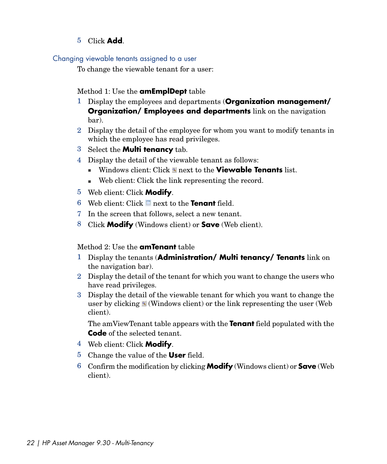5 Click **Add**.

### Changing viewable tenants assigned to a user

To change the viewable tenant for a user:

### Method 1: Use the **amEmplDept** table

- 1 Display the employees and departments (**Organization management/ Organization/ Employees and departments** link on the navigation bar).
- 2 Display the detail of the employee for whom you want to modify tenants in which the employee has read privileges.
- 3 Select the **Multi tenancy** tab.
- 4 Display the detail of the viewable tenant as follows:
	- **Number 1** Windows client: Click **next to the Viewable Tenants** list.
	- <sup>n</sup> Web client: Click the link representing the record.
- 5 Web client: Click **Modify**.
- 6 Web client: Click next to the **Tenant** field.
- 7 In the screen that follows, select a new tenant.
- 8 Click **Modify** (Windows client) or **Save** (Web client).

### Method 2: Use the **amTenant** table

- 1 Display the tenants (**Administration/ Multi tenancy/ Tenants** link on the navigation bar).
- 2 Display the detail of the tenant for which you want to change the users who have read privileges.
- 3 Display the detail of the viewable tenant for which you want to change the user by clicking  $\leq$  (Windows client) or the link representing the user (Web client).

The amViewTenant table appears with the **Tenant** field populated with the **Code** of the selected tenant.

- 4 Web client: Click **Modify**.
- 5 Change the value of the **User** field.
- 6 Confirm the modification by clicking **Modify** (Windows client) or **Save** (Web client).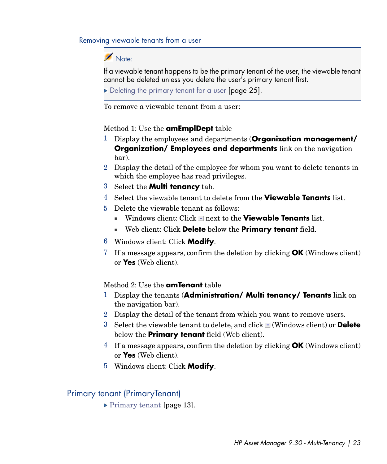#### Removing viewable tenants from a user

## Note:

If a viewable tenant happens to be the primary tenant of the user, the viewable tenant cannot be deleted unless you delete the user's primary tenant first.

[Deleting the primary tenant for a user](#page-24-0) [page 25].

To remove a viewable tenant from a user:

#### Method 1: Use the **amEmplDept** table

- 1 Display the employees and departments (**Organization management/ Organization/ Employees and departments** link on the navigation bar).
- 2 Display the detail of the employee for whom you want to delete tenants in which the employee has read privileges.
- 3 Select the **Multi tenancy** tab.
- 4 Select the viewable tenant to delete from the **Viewable Tenants** list.
- 5 Delete the viewable tenant as follows:
	- Windows client: Click **I** next to the **Viewable Tenants** list.
	- <sup>n</sup> Web client: Click **Delete** below the **Primary tenant** field.
- 6 Windows client: Click **Modify**.
- 7 If a message appears, confirm the deletion by clicking **OK** (Windows client) or **Yes** (Web client).

#### Method 2: Use the **amTenant** table

- 1 Display the tenants (**Administration/ Multi tenancy/ Tenants** link on the navigation bar).
- 2 Display the detail of the tenant from which you want to remove users.
- 3 Select the viewable tenant to delete, and click (Windows client) or **Delete** below the **Primary tenant** field (Web client).
- 4 If a message appears, confirm the deletion by clicking **OK** (Windows client) or **Yes** (Web client).
- 5 Windows client: Click **Modify**.

## Primary tenant (PrimaryTenant)

▶ [Primary tenant](#page-12-2) [page 13].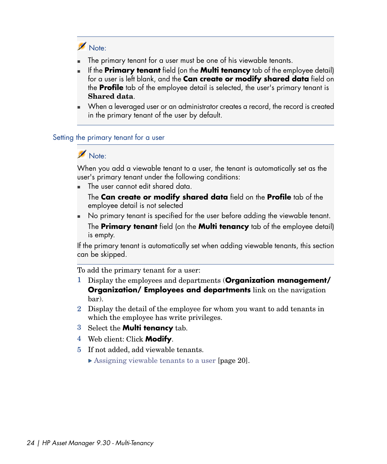# Note:

- The primary tenant for a user must be one of his viewable tenants.
- <sup>n</sup> If the **Primary tenant** field (on the **Multi tenancy** tab of the employee detail) for a user is left blank, and the **Can create or modify shared data** field on the **Profile** tab of the employee detail is selected, the user's primary tenant is **Shared data**.
- <span id="page-23-0"></span><sup>n</sup> When a leveraged user or an administrator creates a record, the record is created in the primary tenant of the user by default.

### Setting the primary tenant for a user

# Note:

When you add a viewable tenant to a user, the tenant is automatically set as the user's primary tenant under the following conditions:

The user cannot edit shared data.

The **Can create or modify shared data** field on the **Profile** tab of the employee detail is not selected

No primary tenant is specified for the user before adding the viewable tenant. The **Primary tenant** field (on the **Multi tenancy** tab of the employee detail) is empty.

If the primary tenant is automatically set when adding viewable tenants, this section can be skipped.

To add the primary tenant for a user:

- 1 Display the employees and departments (**Organization management/ Organization/ Employees and departments** link on the navigation bar).
- 2 Display the detail of the employee for whom you want to add tenants in which the employee has write privileges.
- 3 Select the **Multi tenancy** tab.
- 4 Web client: Click **Modify**.
- 5 If not added, add viewable tenants.
	- ▶ [Assigning viewable tenants to a user](#page-19-0) [page 20].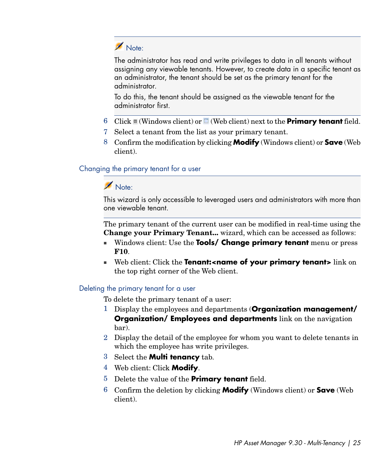

The administrator has read and write privileges to data in all tenants without assigning any viewable tenants. However, to create data in a specific tenant as an administrator, the tenant should be set as the primary tenant for the administrator.

To do this, the tenant should be assigned as the viewable tenant for the administrator first.

- 6 Click  $\mathbb{I}$  (Windows client) or  $\mathbb{I}$  (Web client) next to the **Primary tenant** field.
- 7 Select a tenant from the list as your primary tenant.
- <span id="page-24-1"></span>8 Confirm the modification by clicking **Modify** (Windows client) or **Save** (Web client).

#### Changing the primary tenant for a user

## Note:

This wizard is only accessible to leveraged users and administrators with more than one viewable tenant.

The primary tenant of the current user can be modified in real-time using the **Change your Primary Tenant...** wizard, which can be accessed as follows:

- <sup>n</sup> Windows client: Use the **Tools/ Change primary tenant** menu or press **F10**.
- <span id="page-24-0"></span><sup>n</sup> Web client: Click the **Tenant:<name of your primary tenant>** link on the top right corner of the Web client.

### Deleting the primary tenant for a user

To delete the primary tenant of a user:

- 1 Display the employees and departments (**Organization management/ Organization/ Employees and departments** link on the navigation bar).
- 2 Display the detail of the employee for whom you want to delete tenants in which the employee has write privileges.
- 3 Select the **Multi tenancy** tab.
- 4 Web client: Click **Modify**.
- 5 Delete the value of the **Primary tenant** field.
- 6 Confirm the deletion by clicking **Modify** (Windows client) or **Save** (Web client).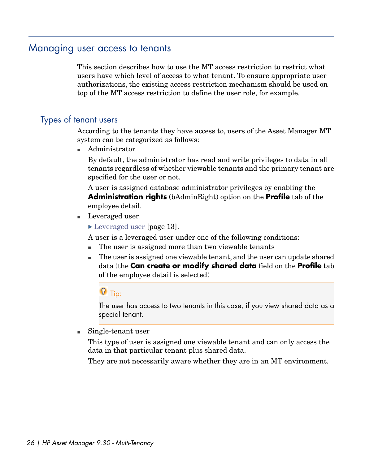## Managing user access to tenants

<span id="page-25-0"></span>This section describes how to use the MT access restriction to restrict what users have which level of access to what tenant. To ensure appropriate user authorizations, the existing access restriction mechanism should be used on top of the MT access restriction to define the user role, for example.

## Types of tenant users

According to the tenants they have access to, users of the Asset Manager MT system can be categorized as follows:

Administrator

By default, the administrator has read and write privileges to data in all tenants regardless of whether viewable tenants and the primary tenant are specified for the user or not.

A user is assigned database administrator privileges by enabling the **Administration rights** (bAdminRight) option on the **Profile** tab of the employee detail.

- Leveraged user
	- ► [Leveraged user](#page-12-0) [page 13].

A user is a leveraged user under one of the following conditions:

- n The user is assigned more than two viewable tenants
- n The user is assigned one viewable tenant, and the user can update shared data (the **Can create or modify shared data** field on the **Profile** tab of the employee detail is selected)

# $Q$  Tip:

The user has access to two tenants in this case, if you view shared data as a special tenant.

 $\blacksquare$  Single-tenant user

This type of user is assigned one viewable tenant and can only access the data in that particular tenant plus shared data.

They are not necessarily aware whether they are in an MT environment.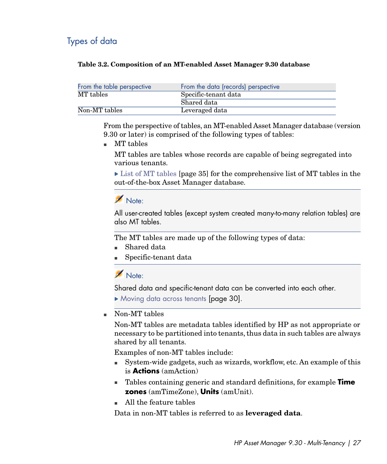## Types of data

#### <span id="page-26-0"></span>**Table 3.2. Composition of an MT-enabled Asset Manager 9.30 database**

| From the table perspective | From the data (records) perspective |  |  |  |  |  |
|----------------------------|-------------------------------------|--|--|--|--|--|
| MT tables                  | Specific-tenant data                |  |  |  |  |  |
|                            | Shared data                         |  |  |  |  |  |
| Non-MT tables              | Leveraged data                      |  |  |  |  |  |

From the perspective of tables, an MT-enabled Asset Manager database (version 9.30 or later) is comprised of the following types of tables:

 $\blacksquare$  MT tables

MT tables are tables whose records are capable of being segregated into various tenants.

 $\triangleright$  [List of MT tables](#page-34-0) [page 35] for the comprehensive list of MT tables in the out-of-the-box Asset Manager database.

Note:

All user-created tables (except system created many-to-many relation tables) are also MT tables.

The MT tables are made up of the following types of data:

- Shared data
- Specific-tenant data

Note:

Shared data and specific-tenant data can be converted into each other.

[Moving data across tenants](#page-29-1) [page 30].

Non-MT tables

Non-MT tables are metadata tables identified by HP as not appropriate or necessary to be partitioned into tenants, thus data in such tables are always shared by all tenants.

Examples of non-MT tables include:

- <sup>n</sup> System-wide gadgets, such as wizards, workflow, etc. An example of this is **Actions** (amAction)
- <sup>n</sup> Tables containing generic and standard definitions, for example **Time zones** (amTimeZone), **Units** (amUnit).
- n All the feature tables

Data in non-MT tables is referred to as **leveraged data**.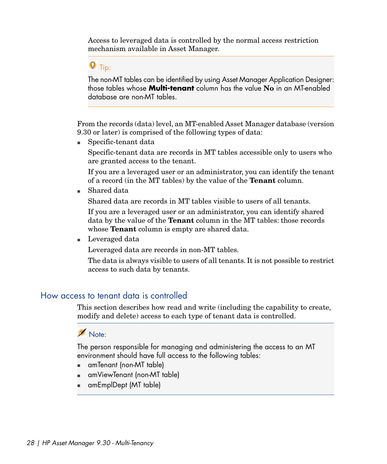Access to leveraged data is controlled by the normal access restriction mechanism available in Asset Manager.

# $\overline{Q}$  Tip:

The non-MT tables can be identified by using Asset Manager Application Designer: those tables whose **Multi-tenant** column has the value **No** in an MT-enabled database are non-MT tables.

From the records (data) level, an MT-enabled Asset Manager database (version 9.30 or later) is comprised of the following types of data:

 $\blacksquare$  Specific-tenant data

Specific-tenant data are records in MT tables accessible only to users who are granted access to the tenant.

If you are a leveraged user or an administrator, you can identify the tenant of a record (in the MT tables) by the value of the **Tenant** column.

 $\blacksquare$  Shared data

Shared data are records in MT tables visible to users of all tenants.

If you are a leveraged user or an administrator, you can identify shared data by the value of the **Tenant** column in the MT tables: those records whose **Tenant** column is empty are shared data.

<span id="page-27-0"></span> $\blacksquare$  Leveraged data

Leveraged data are records in non-MT tables.

The data is always visible to users of all tenants. It is not possible to restrict access to such data by tenants.

## How access to tenant data is controlled

This section describes how read and write (including the capability to create, modify and delete) access to each type of tenant data is controlled.

# Note:

The person responsible for managing and administering the access to an MT environment should have full access to the following tables:

- $\blacksquare$  amTenant (non-MT table)
- $\blacksquare$  amViewTenant (non-MT table)
- <sup>n</sup> amEmplDept (MT table)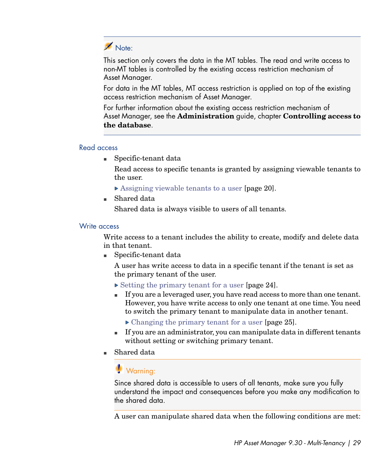# Note:

This section only covers the data in the MT tables. The read and write access to non-MT tables is controlled by the existing access restriction mechanism of Asset Manager.

For data in the MT tables, MT access restriction is applied on top of the existing access restriction mechanism of Asset Manager.

For further information about the existing access restriction mechanism of Asset Manager, see the **Administration** guide, chapter **Controlling access to the database**.

#### Read access

 $\blacksquare$  Specific-tenant data

Read access to specific tenants is granted by assigning viewable tenants to the user.

- ▶ [Assigning viewable tenants to a user](#page-19-0) [page 20].
- Shared data

Shared data is always visible to users of all tenants.

### Write access

Write access to a tenant includes the ability to create, modify and delete data in that tenant.

<sup>n</sup> Specific-tenant data

A user has write access to data in a specific tenant if the tenant is set as the primary tenant of the user.

- $\triangleright$  [Setting the primary tenant for a user](#page-23-0) [page 24].
- <sup>n</sup> If you are a leveraged user, you have read access to more than one tenant. However, you have write access to only one tenant at one time. You need to switch the primary tenant to manipulate data in another tenant.
	- [Changing the primary tenant for a user](#page-24-1) [page 25].
- <sup>n</sup> If you are an administrator, you can manipulate data in different tenants without setting or switching primary tenant.
- Shared data

# Warning:

Since shared data is accessible to users of all tenants, make sure you fully understand the impact and consequences before you make any modification to the shared data.

A user can manipulate shared data when the following conditions are met: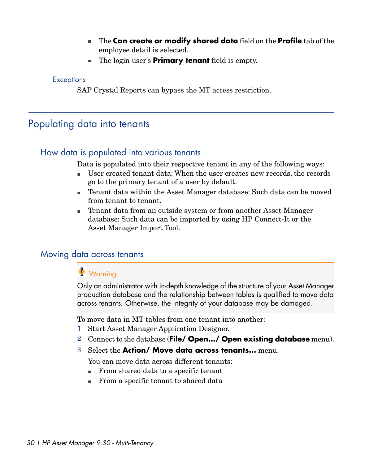- <sup>n</sup> The **Can create or modify shared data** field on the **Profile** tab of the employee detail is selected.
- **n** The login user's **Primary tenant** field is empty.

#### **Exceptions**

<span id="page-29-0"></span>SAP Crystal Reports can bypass the MT access restriction.

# Populating data into tenants

## How data is populated into various tenants

Data is populated into their respective tenant in any of the following ways:

- <sup>n</sup> User created tenant data: When the user creates new records, the records go to the primary tenant of a user by default.
- <sup>n</sup> Tenant data within the Asset Manager database: Such data can be moved from tenant to tenant.
- <span id="page-29-1"></span>n Tenant data from an outside system or from another Asset Manager database: Such data can be imported by using HP Connect-It or the Asset Manager Import Tool.

## Moving data across tenants

# Warning:

Only an administrator with in-depth knowledge of the structure of your Asset Manager production database and the relationship between tables is qualified to move data across tenants. Otherwise, the integrity of your database may be damaged.

To move data in MT tables from one tenant into another:

- 1 Start Asset Manager Application Designer.
- 2 Connect to the database (**File/ Open.../ Open existing database** menu).
- 3 Select the **Action/ Move data across tenants...** menu.

You can move data across different tenants:

- <sup>n</sup> From shared data to a specific tenant
- <sup>n</sup> From a specific tenant to shared data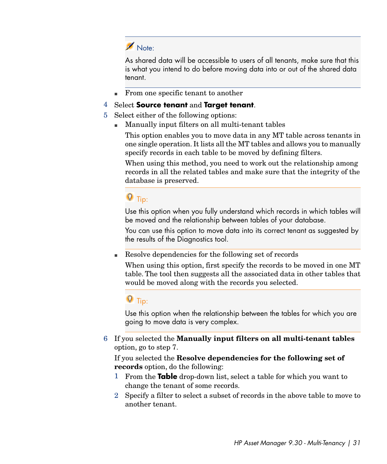# Note:

As shared data will be accessible to users of all tenants, make sure that this is what you intend to do before moving data into or out of the shared data tenant.

■ From one specific tenant to another

## 4 Select **Source tenant** and **Target tenant**.

- 5 Select either of the following options:
	- **n** Manually input filters on all multi-tenant tables

This option enables you to move data in any MT table across tenants in one single operation. It lists all the MT tables and allows you to manually specify records in each table to be moved by defining filters.

When using this method, you need to work out the relationship among records in all the related tables and make sure that the integrity of the database is preserved.

# $\overline{Q}$  Tip:

Use this option when you fully understand which records in which tables will be moved and the relationship between tables of your database.

You can use this option to move data into its correct tenant as suggested by the results of the Diagnostics tool.

<sup>n</sup> Resolve dependencies for the following set of records

When using this option, first specify the records to be moved in one MT table. The tool then suggests all the associated data in other tables that would be moved along with the records you selected.

# **Q** Tip:

Use this option when the relationship between the tables for which you are going to move data is very complex.

6 If you selected the **Manually input filters on all multi-tenant tables** option, go to step 7.

If you selected the **Resolve dependencies for the following set of records** option, do the following:

- 1 From the **Table** drop-down list, select a table for which you want to change the tenant of some records.
- 2 Specify a filter to select a subset of records in the above table to move to another tenant.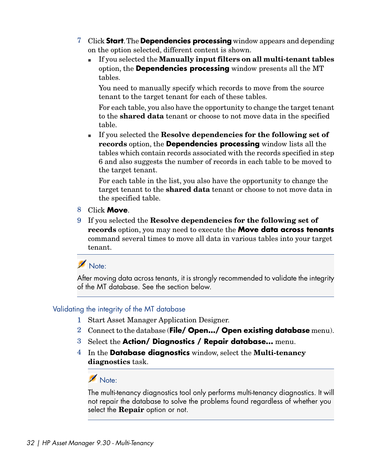- 7 Click **Start**.The **Dependencies processing** window appears and depending on the option selected, different content is shown.
	- <sup>n</sup> If you selected the **Manually input filters on all multi-tenant tables** option, the **Dependencies processing** window presents all the MT tables.

You need to manually specify which records to move from the source tenant to the target tenant for each of these tables.

For each table, you also have the opportunity to change the target tenant to the **shared data** tenant or choose to not move data in the specified table.

<sup>n</sup> If you selected the **Resolve dependencies for the following set of records** option, the **Dependencies processing** window lists all the tables which contain records associated with the records specified in step 6 and also suggests the number of records in each table to be moved to the target tenant.

For each table in the list, you also have the opportunity to change the target tenant to the **shared data** tenant or choose to not move data in the specified table.

### 8 Click **Move**.

9 If you selected the **Resolve dependencies for the following set of records** option, you may need to execute the **Move data across tenants** command several times to move all data in various tables into your target tenant.

Note:

<span id="page-31-0"></span>After moving data across tenants, it is strongly recommended to validate the integrity of the MT database. See the section below.

### Validating the integrity of the MT database

- 1 Start Asset Manager Application Designer.
- 2 Connect to the database (**File/ Open.../ Open existing database** menu).
- 3 Select the **Action/ Diagnostics / Repair database...** menu.
- 4 In the **Database diagnostics** window, select the **Multi-tenancy diagnostics** task.

## Note:

The multi-tenancy diagnostics tool only performs multi-tenancy diagnostics. It will not repair the database to solve the problems found regardless of whether you select the **Repair** option or not.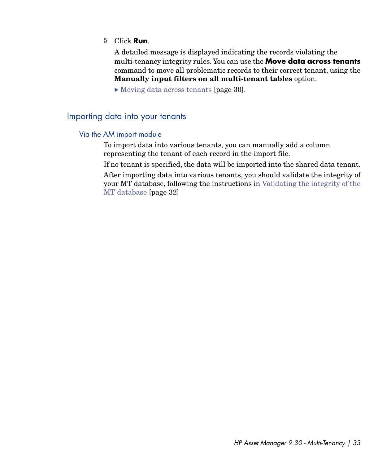#### 5 Click **Run**.

A detailed message is displayed indicating the records violating the multi-tenancy integrity rules. You can use the **Move data across tenants** command to move all problematic records to their correct tenant, using the **Manually input filters on all multi-tenant tables** option.

<span id="page-32-0"></span>[Moving data across tenants](#page-29-1) [page 30].

## Importing data into your tenants

#### Via the AM import module

To import data into various tenants, you can manually add a column representing the tenant of each record in the import file.

If no tenant is specified, the data will be imported into the shared data tenant.

After importing data into various tenants, you should validate the integrity of your MT database, following the instructions in [Validating the integrity of the](#page-31-0) [MT database](#page-31-0) [page 32]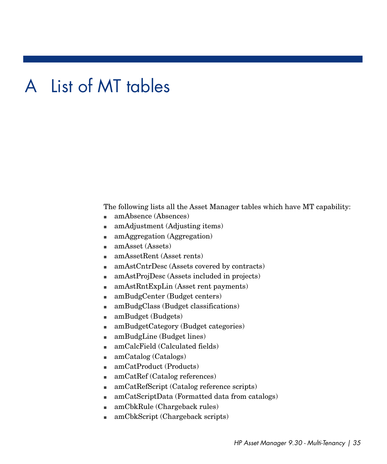# A List of MT tables

<span id="page-34-0"></span>The following lists all the Asset Manager tables which have MT capability:

- amAbsence (Absences)
- n amAdjustment (Adjusting items)
- n amAggregation (Aggregation)
- $an$ Asset (Assets)
- <sup>n</sup> amAssetRent (Asset rents)
- amAstCntrDesc (Assets covered by contracts)
- amAstProjDesc (Assets included in projects)
- n amAstRntExpLin (Asset rent payments)
- amBudgCenter (Budget centers)
- $\blacksquare$  amBudgClass (Budget classifications)
- amBudget (Budgets)
- amBudgetCategory (Budget categories)
- $\blacksquare$  amBudgLine (Budget lines)
- $\blacksquare$  amCalcField (Calculated fields)
- $\Box$  amCatalog (Catalogs)
- $\blacksquare$  amCatProduct (Products)
- amCatRef (Catalog references)
- amCatRefScript (Catalog reference scripts)
- amCatScriptData (Formatted data from catalogs)
- n amCbkRule (Chargeback rules)
- <sup>n</sup> amCbkScript (Chargeback scripts)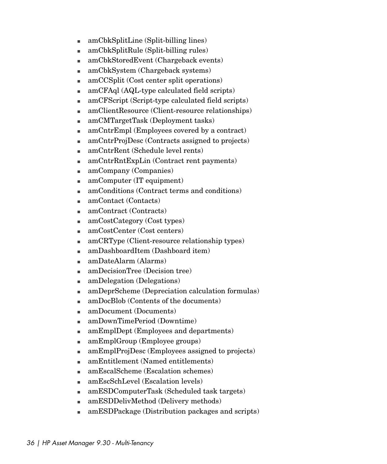- $\blacksquare$  amCbkSplitLine (Split-billing lines)
- $anCbkSplitRule (Split-billing rules)$
- n amCbkStoredEvent (Chargeback events)
- <sup>n</sup> amCbkSystem (Chargeback systems)
- $\Box$  amCCSplit (Cost center split operations)
- <sup>n</sup> amCFAql (AQL-type calculated field scripts)
- $\blacksquare$  amCFScript (Script-type calculated field scripts)
- <sup>n</sup> amClientResource (Client-resource relationships)
- amCMTargetTask (Deployment tasks)
- <sup>n</sup> amCntrEmpl (Employees covered by a contract)
- $\blacksquare$  amCntrProjDesc (Contracts assigned to projects)
- n amCntrRent (Schedule level rents)
- $\blacksquare$  amCntrRntExpLin (Contract rent payments)
- amCompany (Companies)
- $\blacksquare$  amComputer (IT equipment)
- $\blacksquare$  amConditions (Contract terms and conditions)
- amContact (Contacts)
- $\blacksquare$  amContract (Contracts)
- amCostCategory (Cost types)
- amCostCenter (Cost centers)
- $\blacksquare$  amCRType (Client-resource relationship types)
- n amDashboardItem (Dashboard item)
- <sup>n</sup> amDateAlarm (Alarms)
- n amDecisionTree (Decision tree)
- <sup>n</sup> amDelegation (Delegations)
- n amDeprScheme (Depreciation calculation formulas)
- <sup>n</sup> amDocBlob (Contents of the documents)
- n amDocument (Documents)
- <sup>n</sup> amDownTimePeriod (Downtime)
- n amEmplDept (Employees and departments)
- <sup>n</sup> amEmplGroup (Employee groups)
- $\blacksquare$  amEmplProjDesc (Employees assigned to projects)
- n amEntitlement (Named entitlements)
- n amEscalScheme (Escalation schemes)
- <sup>n</sup> amEscSchLevel (Escalation levels)
- n amESDComputerTask (Scheduled task targets)
- <sup>n</sup> amESDDelivMethod (Delivery methods)
- $\Box$  amESDPackage (Distribution packages and scripts)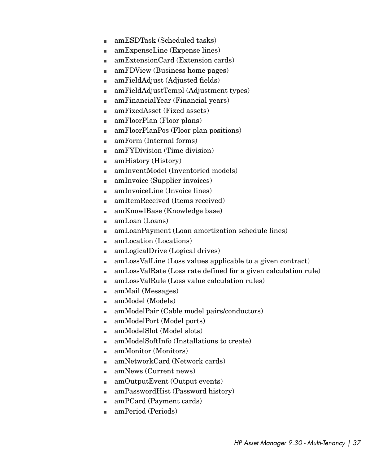- n amESDTask (Scheduled tasks)
- n amExpenseLine (Expense lines)
- $\blacksquare$  amExtensionCard (Extension cards)
- <sup>n</sup> amFDView (Business home pages)
- amFieldAdjust (Adjusted fields)
- amFieldAdjustTempl (Adjustment types)
- n amFinancialYear (Financial years)
- amFixedAsset (Fixed assets)
- $\blacksquare$  amFloorPlan (Floor plans)
- <sup>n</sup> amFloorPlanPos (Floor plan positions)
- $\blacksquare$  amForm (Internal forms)
- $\blacksquare$  amFYDivision (Time division)
- $\blacksquare$  amHistory (History)
- $\blacksquare$  amInventModel (Inventoried models)
- $\blacksquare$  amInvoice (Supplier invoices)
- $\blacksquare$  amInvoiceLine (Invoice lines)
- <sup>n</sup> amItemReceived (Items received)
- $\blacksquare$  amKnowlBase (Knowledge base)
- $\blacksquare$  amLoan (Loans)
- <sup>n</sup> amLoanPayment (Loan amortization schedule lines)
- $\blacksquare$  amLocation (Locations)
- amLogicalDrive (Logical drives)
- $\blacksquare$  amLossValLine (Loss values applicable to a given contract)
- n amLossValRate (Loss rate defined for a given calculation rule)
- <sup>n</sup> amLossValRule (Loss value calculation rules)
- $anMail$  (Messages)
- $anModel$  (Models)
- <sup>n</sup> amModelPair (Cable model pairs/conductors)
- amModelPort (Model ports)
- $\blacksquare$  amModelSlot (Model slots)
- <sup>n</sup> amModelSoftInfo (Installations to create)
- n amMonitor (Monitors)
- <sup>n</sup> amNetworkCard (Network cards)
- $\blacksquare$  amNews (Current news)
- $\Box$  amOutputEvent (Output events)
- amPasswordHist (Password history)
- <sup>n</sup> amPCard (Payment cards)
- n amPeriod (Periods)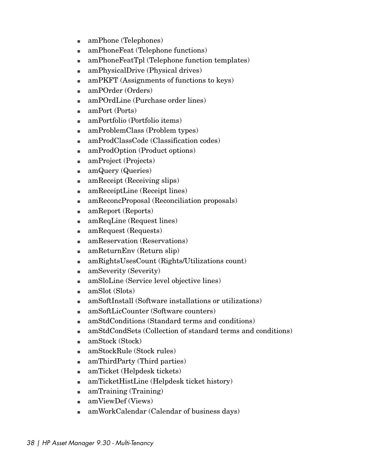- amPhone (Telephones)
- amPhoneFeat (Telephone functions)
- amPhoneFeatTpl (Telephone function templates)
- amPhysicalDrive (Physical drives)
- $\blacksquare$  amPKFT (Assignments of functions to keys)
- $\blacksquare$  amPOrder (Orders)
- $\blacksquare$  amPOrdLine (Purchase order lines)
- $amPort (Ports)$
- $\blacksquare$  amPortfolio (Portfolio items)
- amProblemClass (Problem types)
- amProdClassCode (Classification codes)
- amProdOption (Product options)
- amProject (Projects)
- n amQuery (Queries)
- $\blacksquare$  amReceipt (Receiving slips)
- n amReceiptLine (Receipt lines)
- n amReconcProposal (Reconciliation proposals)
- $\blacksquare$  amReport (Reports)
- $\blacksquare$  amReqLine (Request lines)
- $\Box$  amRequest (Requests)
- n amReservation (Reservations)
- $\blacksquare$  amReturnEnv (Return slip)
- n amRightsUsesCount (Rights/Utilizations count)
- $\blacksquare$  amSeverity (Severity)
- n amSloLine (Service level objective lines)
- $\blacksquare$  amSlot (Slots)
- <sup>n</sup> amSoftInstall (Software installations or utilizations)
- n amSoftLicCounter (Software counters)
- <sup>n</sup> amStdConditions (Standard terms and conditions)
- n amStdCondSets (Collection of standard terms and conditions)
- $\blacksquare$  amStock (Stock)
- $\blacksquare$  amStockRule (Stock rules)
- $\blacksquare$  amThirdParty (Third parties)
- n amTicket (Helpdesk tickets)
- $\blacksquare$  amTicketHistLine (Helpdesk ticket history)
- $\blacksquare$  amTraining (Training)
- $anViewDef$  (Views)
- $\Box$  amWorkCalendar (Calendar of business days)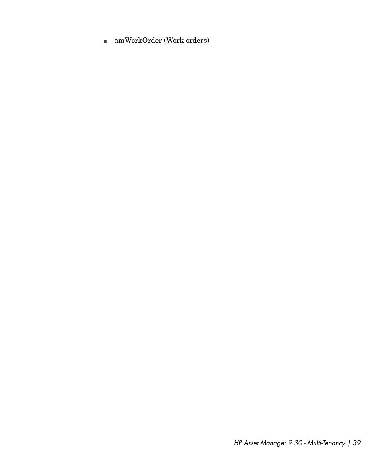$\quad \blacksquare$  amWorkOrder (Work orders)